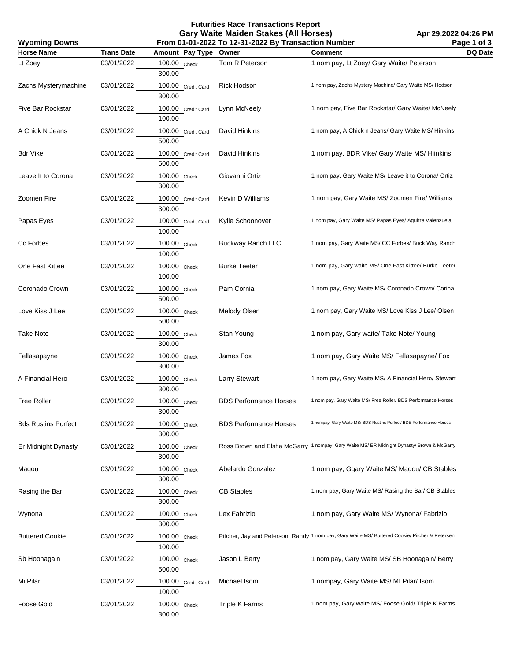**Futurities Race Transactions Report Gary Waite Maiden Stakes (All Horses)**

**Apr 29,2022 04:26 PM Page 1 of 3**

| <b>Wyoming Downs</b>       |                   | From 01-01-2022 To 12-31-2022 By Transaction Number | Page 1 of 3                   |                                                                                                |         |
|----------------------------|-------------------|-----------------------------------------------------|-------------------------------|------------------------------------------------------------------------------------------------|---------|
| <b>Horse Name</b>          | <b>Trans Date</b> | Amount Pay Type                                     | Owner                         | <b>Comment</b>                                                                                 | DQ Date |
| Lt Zoey                    | 03/01/2022        | 100.00 Check<br>300.00                              | Tom R Peterson                | 1 nom pay, Lt Zoey/ Gary Waite/ Peterson                                                       |         |
| Zachs Mysterymachine       | 03/01/2022        | 100.00 Credit Card<br>300.00                        | Rick Hodson                   | 1 nom pay, Zachs Mystery Machine/ Gary Waite MS/ Hodson                                        |         |
| Five Bar Rockstar          | 03/01/2022        | 100.00 Credit Card<br>100.00                        | Lynn McNeely                  | 1 nom pay, Five Bar Rockstar/ Gary Waite/ McNeely                                              |         |
| A Chick N Jeans            | 03/01/2022        | 100.00 Credit Card<br>500.00                        | David Hinkins                 | 1 nom pay, A Chick n Jeans/ Gary Waite MS/ Hinkins                                             |         |
| Bdr Vike                   | 03/01/2022        | 100.00 Credit Card<br>500.00                        | David Hinkins                 | 1 nom pay, BDR Vike/ Gary Waite MS/ Hiinkins                                                   |         |
| Leave It to Corona         | 03/01/2022        | 100.00 Check<br>300.00                              | Giovanni Ortiz                | 1 nom pay, Gary Waite MS/ Leave it to Corona/ Ortiz                                            |         |
| Zoomen Fire                | 03/01/2022        | 100.00 Credit Card<br>300.00                        | Kevin D Williams              | 1 nom pay, Gary Waite MS/ Zoomen Fire/ Williams                                                |         |
| Papas Eyes                 | 03/01/2022        | 100.00 Credit Card<br>100.00                        | Kylie Schoonover              | 1 nom pay, Gary Waite MS/ Papas Eyes/ Aguirre Valenzuela                                       |         |
| Cc Forbes                  | 03/01/2022        | 100.00 Check<br>100.00                              | Buckway Ranch LLC             | 1 nom pay, Gary Waite MS/ CC Forbes/ Buck Way Ranch                                            |         |
| One Fast Kittee            | 03/01/2022        | 100.00 Check<br>100.00                              | <b>Burke Teeter</b>           | 1 nom pay, Gary waite MS/ One Fast Kittee/ Burke Teeter                                        |         |
| Coronado Crown             | 03/01/2022        | 100.00 Check<br>500.00                              | Pam Cornia                    | 1 nom pay, Gary Waite MS/ Coronado Crown/ Corina                                               |         |
| Love Kiss J Lee            | 03/01/2022        | 100.00 Check<br>500.00                              | Melody Olsen                  | 1 nom pay, Gary Waite MS/ Love Kiss J Lee/ Olsen                                               |         |
| Take Note                  | 03/01/2022        | 100.00 Check<br>300.00                              | Stan Young                    | 1 nom pay, Gary waite/ Take Note/ Young                                                        |         |
| Fellasapayne               | 03/01/2022        | 100.00 Check<br>300.00                              | James Fox                     | 1 nom pay, Gary Waite MS/ Fellasapayne/ Fox                                                    |         |
| A Financial Hero           | 03/01/2022        | 100.00 Check<br>300.00                              | <b>Larry Stewart</b>          | 1 nom pay, Gary Waite MS/ A Financial Hero/ Stewart                                            |         |
| <b>Free Roller</b>         | 03/01/2022        | 100.00 Check<br>300.00                              | <b>BDS Performance Horses</b> | 1 nom pay, Gary Waite MS/ Free Roller/ BDS Performance Horses                                  |         |
| <b>Bds Rustins Purfect</b> | 03/01/2022        | 100.00 Check<br>300.00                              | <b>BDS Performance Horses</b> | 1 nompay, Gary Waite MS/ BDS Rustins Purfect/ BDS Performance Horses                           |         |
| Er Midnight Dynasty        | 03/01/2022        | 100.00 Check<br>300.00                              |                               | Ross Brown and Elsha McGarry 1 nompay, Gary Waite MS/ ER Midnight Dynasty/ Brown & McGarry     |         |
| Magou                      | 03/01/2022        | 100.00 Check<br>300.00                              | Abelardo Gonzalez             | 1 nom pay, Ggary Waite MS/ Magou/ CB Stables                                                   |         |
| Rasing the Bar             | 03/01/2022        | 100.00 Check<br>300.00                              | <b>CB Stables</b>             | 1 nom pay, Gary Waite MS/ Rasing the Bar/ CB Stables                                           |         |
| Wynona                     | 03/01/2022        | 100.00 Check<br>300.00                              | Lex Fabrizio                  | 1 nom pay, Gary Waite MS/ Wynona/ Fabrizio                                                     |         |
| <b>Buttered Cookie</b>     | 03/01/2022        | 100.00 Check<br>100.00                              |                               | Pitcher, Jay and Peterson, Randy 1 nom pay, Gary Waite MS/ Buttered Cookie/ Pitcher & Petersen |         |
| Sb Hoonagain               | 03/01/2022        | 100.00 Check<br>500.00                              | Jason L Berry                 | 1 nom pay, Gary Waite MS/ SB Hoonagain/ Berry                                                  |         |
| Mi Pilar                   | 03/01/2022        | 100.00 Credit Card<br>100.00                        | Michael Isom                  | 1 nompay, Gary Waite MS/MI Pilar/ Isom                                                         |         |
| Foose Gold                 | 03/01/2022        | 100.00 Check<br>300.00                              | <b>Triple K Farms</b>         | 1 nom pay, Gary waite MS/ Foose Gold/ Triple K Farms                                           |         |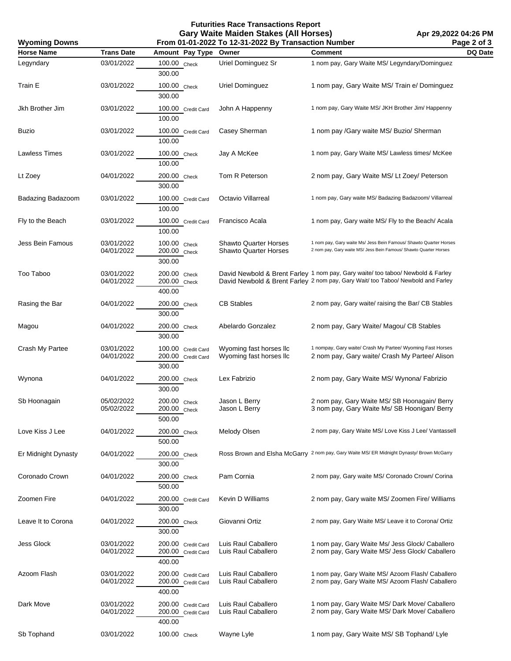**Futurities Race Transactions Report Gary Waite Maiden Stakes (All Horses) From 01-01-2022 To 12-31-2022 By Transaction Number**

| <b>Wyoming Downs</b> |                          |                                                    | From 01-01-2022 To 12-31-2022 By Transaction Number |                                                                                                                                                                    | Page 2 of 3 |
|----------------------|--------------------------|----------------------------------------------------|-----------------------------------------------------|--------------------------------------------------------------------------------------------------------------------------------------------------------------------|-------------|
| <b>Horse Name</b>    | <b>Trans Date</b>        | Amount Pay Type                                    | Owner                                               | <b>Comment</b>                                                                                                                                                     | DQ Date     |
| Legyndary            | 03/01/2022               | 100.00 Check<br>300.00                             | Uriel Dominguez Sr                                  | 1 nom pay, Gary Waite MS/ Legyndary/Dominguez                                                                                                                      |             |
| Train E              | 03/01/2022               | 100.00 Check<br>300.00                             | Uriel Dominguez                                     | 1 nom pay, Gary Waite MS/ Train e/ Dominguez                                                                                                                       |             |
| Jkh Brother Jim      | 03/01/2022               | 100.00 Credit Card<br>100.00                       | John A Happenny                                     | 1 nom pay, Gary Waite MS/ JKH Brother Jim/ Happenny                                                                                                                |             |
| Buzio                | 03/01/2022               | 100.00 Credit Card<br>100.00                       | Casey Sherman                                       | 1 nom pay /Gary waite MS/ Buzio/ Sherman                                                                                                                           |             |
| Lawless Times        | 03/01/2022               | 100.00 Check<br>100.00                             | Jay A McKee                                         | 1 nom pay, Gary Waite MS/ Lawless times/ McKee                                                                                                                     |             |
| Lt Zoey              | 04/01/2022               | 200.00 Check<br>300.00                             | Tom R Peterson                                      | 2 nom pay, Gary Waite MS/Lt Zoey/ Peterson                                                                                                                         |             |
| Badazing Badazoom    | 03/01/2022               | 100.00 Credit Card<br>100.00                       | Octavio Villarreal                                  | 1 nom pay, Gary waite MS/ Badazing Badazoom/ Villarreal                                                                                                            |             |
| Fly to the Beach     | 03/01/2022               | 100.00 Credit Card<br>100.00                       | Francisco Acala                                     | 1 nom pay, Gary waite MS/ Fly to the Beach/ Acala                                                                                                                  |             |
| Jess Bein Famous     | 03/01/2022<br>04/01/2022 | 100.00 Check<br>200.00 Check<br>300.00             | Shawto Quarter Horses<br>Shawto Quarter Horses      | 1 nom pay, Gary waite Ms/ Jess Bein Famous/ Shawto Quarter Horses<br>2 nom pay, Gary waite MS/ Jess Bein Famous/ Shawto Quarter Horses                             |             |
| Too Taboo            | 03/01/2022<br>04/01/2022 | 200.00 Check<br>200.00 Check<br>400.00             |                                                     | David Newbold & Brent Farley 1 nom pay, Gary waite/ too taboo/ Newbold & Farley<br>David Newbold & Brent Farley 2 nom pay, Gary Wait/too Taboo/ Newbold and Farley |             |
| Rasing the Bar       | 04/01/2022               | 200.00 Check<br>300.00                             | <b>CB Stables</b>                                   | 2 nom pay, Gary waite/ raising the Bar/ CB Stables                                                                                                                 |             |
| Magou                | 04/01/2022               | 200.00 Check<br>300.00                             | Abelardo Gonzalez                                   | 2 nom pay, Gary Waite/ Magou/ CB Stables                                                                                                                           |             |
| Crash My Partee      | 03/01/2022<br>04/01/2022 | 100.00 Credit Card<br>200.00 Credit Card<br>300.00 | Wyoming fast horses IIc<br>Wyoming fast horses IIc  | 1 nompay, Gary waite/ Crash My Partee/ Wyoming Fast Horses<br>2 nom pay, Gary waite/ Crash My Partee/ Alison                                                       |             |
| Wynona               | 04/01/2022               | 200.00 Check<br>300.00                             | Lex Fabrizio                                        | 2 nom pay, Gary Waite MS/ Wynona/ Fabrizio                                                                                                                         |             |
| Sb Hoonagain         | 05/02/2022<br>05/02/2022 | 200.00 Check<br>200.00 Check<br>500.00             | Jason L Berry<br>Jason L Berry                      | 2 nom pay, Gary Waite MS/ SB Hoonagain/ Berry<br>3 nom pay, Gary Waite Ms/ SB Hoonigan/ Berry                                                                      |             |
| Love Kiss J Lee      | 04/01/2022               | 200.00 Check<br>500.00                             | Melody Olsen                                        | 2 nom pay, Gary Waite MS/Love Kiss J Lee/ Vantassell                                                                                                               |             |
| Er Midnight Dynasty  | 04/01/2022               | 200.00 Check<br>300.00                             |                                                     | Ross Brown and Elsha McGarry 2 nom pay, Gary Waite MS/ ER Midnight Dynasty/ Brown McGarry                                                                          |             |
| Coronado Crown       | 04/01/2022               | 200.00 Check<br>500.00                             | Pam Cornia                                          | 2 nom pay, Gary waite MS/ Coronado Crown/ Corina                                                                                                                   |             |
| Zoomen Fire          | 04/01/2022               | 200.00 Credit Card<br>300.00                       | Kevin D Williams                                    | 2 nom pay, Gary waite MS/Zoomen Fire/ Williams                                                                                                                     |             |
| Leave It to Corona   | 04/01/2022               | 200.00 Check<br>300.00                             | Giovanni Ortiz                                      | 2 nom pay, Gary Waite MS/ Leave it to Corona/ Ortiz                                                                                                                |             |
| Jess Glock           | 03/01/2022<br>04/01/2022 | 200.00 Credit Card<br>200.00 Credit Card<br>400.00 | Luis Raul Caballero<br>Luis Raul Caballero          | 1 nom pay, Gary Waite Ms/ Jess Glock/ Caballero<br>2 nom pay, Gary Waite MS/ Jess Glock/ Caballero                                                                 |             |
| Azoom Flash          | 03/01/2022<br>04/01/2022 | 200.00 Credit Card<br>200.00 Credit Card<br>400.00 | Luis Raul Caballero<br>Luis Raul Caballero          | 1 nom pay, Gary Waite MS/ Azoom Flash/ Caballero<br>2 nom pay, Gary Waite MS/ Azoom Flash/ Caballero                                                               |             |
| Dark Move            | 03/01/2022<br>04/01/2022 | 200.00 Credit Card<br>200.00 Credit Card<br>400.00 | Luis Raul Caballero<br>Luis Raul Caballero          | 1 nom pay, Gary Waite MS/ Dark Move/ Caballero<br>2 nom pay, Gary Waite MS/ Dark Move/ Caballero                                                                   |             |
| Sb Tophand           | 03/01/2022               | 100.00 Check                                       | Wayne Lyle                                          | 1 nom pay, Gary Waite MS/SB Tophand/Lyle                                                                                                                           |             |